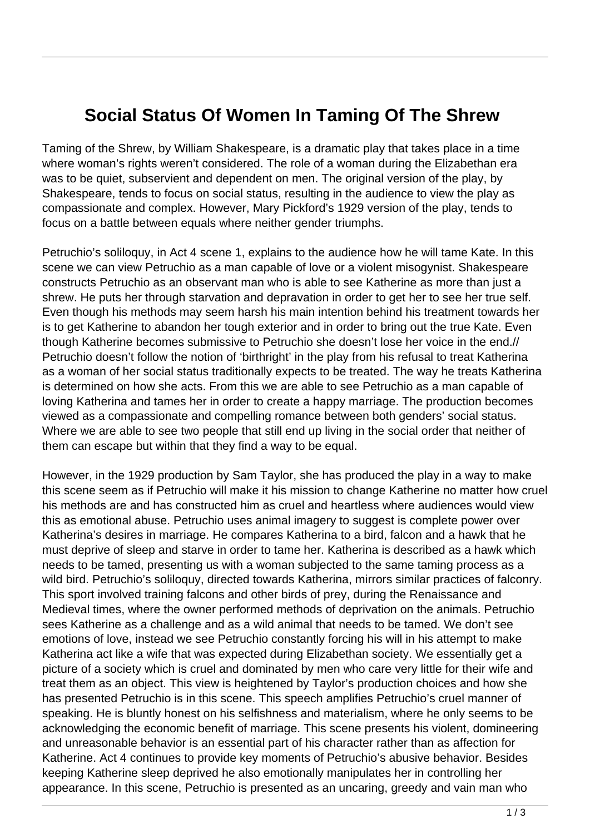## **Social Status Of Women In Taming Of The Shrew**

Taming of the Shrew, by William Shakespeare, is a dramatic play that takes place in a time where woman's rights weren't considered. The role of a woman during the Elizabethan era was to be quiet, subservient and dependent on men. The original version of the play, by Shakespeare, tends to focus on social status, resulting in the audience to view the play as compassionate and complex. However, Mary Pickford's 1929 version of the play, tends to focus on a battle between equals where neither gender triumphs.

Petruchio's soliloquy, in Act 4 scene 1, explains to the audience how he will tame Kate. In this scene we can view Petruchio as a man capable of love or a violent misogynist. Shakespeare constructs Petruchio as an observant man who is able to see Katherine as more than just a shrew. He puts her through starvation and depravation in order to get her to see her true self. Even though his methods may seem harsh his main intention behind his treatment towards her is to get Katherine to abandon her tough exterior and in order to bring out the true Kate. Even though Katherine becomes submissive to Petruchio she doesn't lose her voice in the end.// Petruchio doesn't follow the notion of 'birthright' in the play from his refusal to treat Katherina as a woman of her social status traditionally expects to be treated. The way he treats Katherina is determined on how she acts. From this we are able to see Petruchio as a man capable of loving Katherina and tames her in order to create a happy marriage. The production becomes viewed as a compassionate and compelling romance between both genders' social status. Where we are able to see two people that still end up living in the social order that neither of them can escape but within that they find a way to be equal.

However, in the 1929 production by Sam Taylor, she has produced the play in a way to make this scene seem as if Petruchio will make it his mission to change Katherine no matter how cruel his methods are and has constructed him as cruel and heartless where audiences would view this as emotional abuse. Petruchio uses animal imagery to suggest is complete power over Katherina's desires in marriage. He compares Katherina to a bird, falcon and a hawk that he must deprive of sleep and starve in order to tame her. Katherina is described as a hawk which needs to be tamed, presenting us with a woman subjected to the same taming process as a wild bird. Petruchio's soliloquy, directed towards Katherina, mirrors similar practices of falconry. This sport involved training falcons and other birds of prey, during the Renaissance and Medieval times, where the owner performed methods of deprivation on the animals. Petruchio sees Katherine as a challenge and as a wild animal that needs to be tamed. We don't see emotions of love, instead we see Petruchio constantly forcing his will in his attempt to make Katherina act like a wife that was expected during Elizabethan society. We essentially get a picture of a society which is cruel and dominated by men who care very little for their wife and treat them as an object. This view is heightened by Taylor's production choices and how she has presented Petruchio is in this scene. This speech amplifies Petruchio's cruel manner of speaking. He is bluntly honest on his selfishness and materialism, where he only seems to be acknowledging the economic benefit of marriage. This scene presents his violent, domineering and unreasonable behavior is an essential part of his character rather than as affection for Katherine. Act 4 continues to provide key moments of Petruchio's abusive behavior. Besides keeping Katherine sleep deprived he also emotionally manipulates her in controlling her appearance. In this scene, Petruchio is presented as an uncaring, greedy and vain man who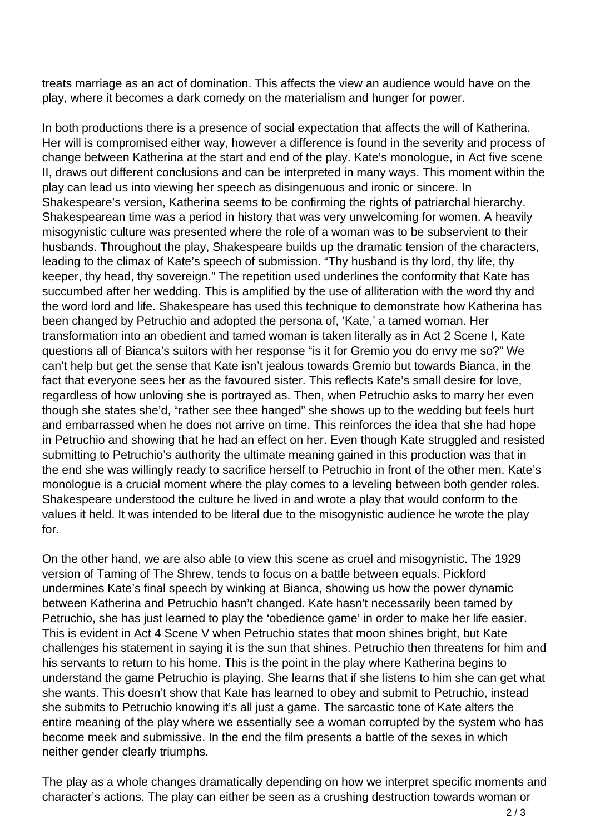treats marriage as an act of domination. This affects the view an audience would have on the play, where it becomes a dark comedy on the materialism and hunger for power.

In both productions there is a presence of social expectation that affects the will of Katherina. Her will is compromised either way, however a difference is found in the severity and process of change between Katherina at the start and end of the play. Kate's monologue, in Act five scene II, draws out different conclusions and can be interpreted in many ways. This moment within the play can lead us into viewing her speech as disingenuous and ironic or sincere. In Shakespeare's version, Katherina seems to be confirming the rights of patriarchal hierarchy. Shakespearean time was a period in history that was very unwelcoming for women. A heavily misogynistic culture was presented where the role of a woman was to be subservient to their husbands. Throughout the play, Shakespeare builds up the dramatic tension of the characters, leading to the climax of Kate's speech of submission. "Thy husband is thy lord, thy life, thy keeper, thy head, thy sovereign." The repetition used underlines the conformity that Kate has succumbed after her wedding. This is amplified by the use of alliteration with the word thy and the word lord and life. Shakespeare has used this technique to demonstrate how Katherina has been changed by Petruchio and adopted the persona of, 'Kate,' a tamed woman. Her transformation into an obedient and tamed woman is taken literally as in Act 2 Scene I, Kate questions all of Bianca's suitors with her response "is it for Gremio you do envy me so?" We can't help but get the sense that Kate isn't jealous towards Gremio but towards Bianca, in the fact that everyone sees her as the favoured sister. This reflects Kate's small desire for love, regardless of how unloving she is portrayed as. Then, when Petruchio asks to marry her even though she states she'd, "rather see thee hanged" she shows up to the wedding but feels hurt and embarrassed when he does not arrive on time. This reinforces the idea that she had hope in Petruchio and showing that he had an effect on her. Even though Kate struggled and resisted submitting to Petruchio's authority the ultimate meaning gained in this production was that in the end she was willingly ready to sacrifice herself to Petruchio in front of the other men. Kate's monologue is a crucial moment where the play comes to a leveling between both gender roles. Shakespeare understood the culture he lived in and wrote a play that would conform to the values it held. It was intended to be literal due to the misogynistic audience he wrote the play for.

On the other hand, we are also able to view this scene as cruel and misogynistic. The 1929 version of Taming of The Shrew, tends to focus on a battle between equals. Pickford undermines Kate's final speech by winking at Bianca, showing us how the power dynamic between Katherina and Petruchio hasn't changed. Kate hasn't necessarily been tamed by Petruchio, she has just learned to play the 'obedience game' in order to make her life easier. This is evident in Act 4 Scene V when Petruchio states that moon shines bright, but Kate challenges his statement in saying it is the sun that shines. Petruchio then threatens for him and his servants to return to his home. This is the point in the play where Katherina begins to understand the game Petruchio is playing. She learns that if she listens to him she can get what she wants. This doesn't show that Kate has learned to obey and submit to Petruchio, instead she submits to Petruchio knowing it's all just a game. The sarcastic tone of Kate alters the entire meaning of the play where we essentially see a woman corrupted by the system who has become meek and submissive. In the end the film presents a battle of the sexes in which neither gender clearly triumphs.

The play as a whole changes dramatically depending on how we interpret specific moments and character's actions. The play can either be seen as a crushing destruction towards woman or